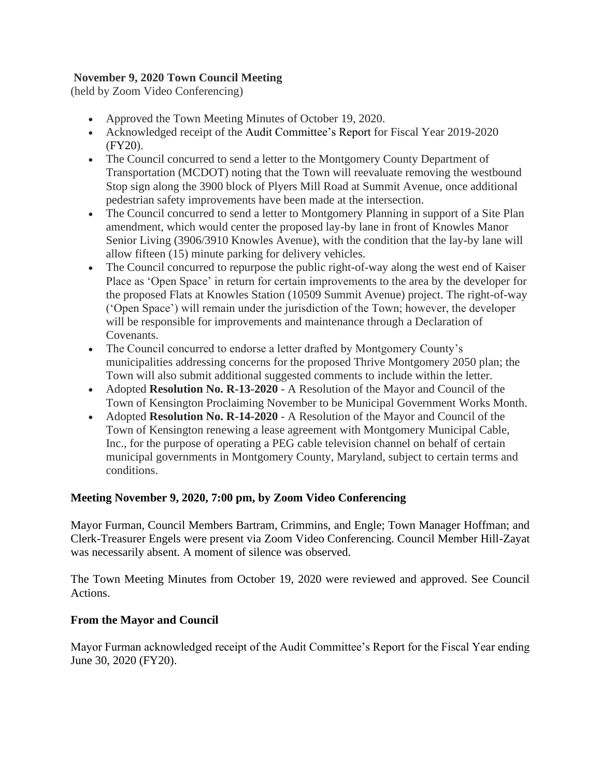## **November 9, 2020 Town Council Meeting**

(held by Zoom Video Conferencing)

- Approved the Town Meeting Minutes of October 19, 2020.
- Acknowledged receipt of the Audit Committee's Report for Fiscal Year 2019-2020 (FY20).
- The Council concurred to send a letter to the Montgomery County Department of Transportation (MCDOT) noting that the Town will reevaluate removing the westbound Stop sign along the 3900 block of Plyers Mill Road at Summit Avenue, once additional pedestrian safety improvements have been made at the intersection.
- The Council concurred to send a letter to Montgomery Planning in support of a Site Plan amendment, which would center the proposed lay-by lane in front of Knowles Manor Senior Living (3906/3910 Knowles Avenue), with the condition that the lay-by lane will allow fifteen (15) minute parking for delivery vehicles.
- The Council concurred to repurpose the public right-of-way along the west end of Kaiser Place as 'Open Space' in return for certain improvements to the area by the developer for the proposed Flats at Knowles Station (10509 Summit Avenue) project. The right-of-way ('Open Space') will remain under the jurisdiction of the Town; however, the developer will be responsible for improvements and maintenance through a Declaration of Covenants.
- The Council concurred to endorse a letter drafted by Montgomery County's municipalities addressing concerns for the proposed Thrive Montgomery 2050 plan; the Town will also submit additional suggested comments to include within the letter.
- Adopted **Resolution No. R-13-2020** A Resolution of the Mayor and Council of the Town of Kensington Proclaiming November to be Municipal Government Works Month.
- Adopted **Resolution No. R-14-2020** A Resolution of the Mayor and Council of the Town of Kensington renewing a lease agreement with Montgomery Municipal Cable, Inc., for the purpose of operating a PEG cable television channel on behalf of certain municipal governments in Montgomery County, Maryland, subject to certain terms and conditions.

# **Meeting November 9, 2020, 7:00 pm, by Zoom Video Conferencing**

Mayor Furman, Council Members Bartram, Crimmins, and Engle; Town Manager Hoffman; and Clerk-Treasurer Engels were present via Zoom Video Conferencing. Council Member Hill-Zayat was necessarily absent. A moment of silence was observed.

The Town Meeting Minutes from October 19, 2020 were reviewed and approved. See Council Actions.

# **From the Mayor and Council**

Mayor Furman acknowledged receipt of the Audit Committee's Report for the Fiscal Year ending June 30, 2020 (FY20).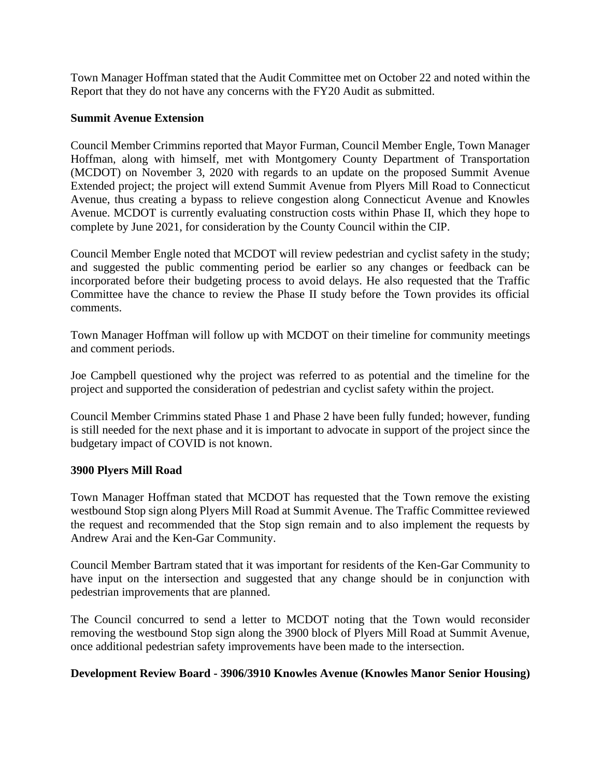Town Manager Hoffman stated that the Audit Committee met on October 22 and noted within the Report that they do not have any concerns with the FY20 Audit as submitted.

### **Summit Avenue Extension**

Council Member Crimmins reported that Mayor Furman, Council Member Engle, Town Manager Hoffman, along with himself, met with Montgomery County Department of Transportation (MCDOT) on November 3, 2020 with regards to an update on the proposed Summit Avenue Extended project; the project will extend Summit Avenue from Plyers Mill Road to Connecticut Avenue, thus creating a bypass to relieve congestion along Connecticut Avenue and Knowles Avenue. MCDOT is currently evaluating construction costs within Phase II, which they hope to complete by June 2021, for consideration by the County Council within the CIP.

Council Member Engle noted that MCDOT will review pedestrian and cyclist safety in the study; and suggested the public commenting period be earlier so any changes or feedback can be incorporated before their budgeting process to avoid delays. He also requested that the Traffic Committee have the chance to review the Phase II study before the Town provides its official comments.

Town Manager Hoffman will follow up with MCDOT on their timeline for community meetings and comment periods.

Joe Campbell questioned why the project was referred to as potential and the timeline for the project and supported the consideration of pedestrian and cyclist safety within the project.

Council Member Crimmins stated Phase 1 and Phase 2 have been fully funded; however, funding is still needed for the next phase and it is important to advocate in support of the project since the budgetary impact of COVID is not known.

### **3900 Plyers Mill Road**

Town Manager Hoffman stated that MCDOT has requested that the Town remove the existing westbound Stop sign along Plyers Mill Road at Summit Avenue. The Traffic Committee reviewed the request and recommended that the Stop sign remain and to also implement the requests by Andrew Arai and the Ken-Gar Community.

Council Member Bartram stated that it was important for residents of the Ken-Gar Community to have input on the intersection and suggested that any change should be in conjunction with pedestrian improvements that are planned.

The Council concurred to send a letter to MCDOT noting that the Town would reconsider removing the westbound Stop sign along the 3900 block of Plyers Mill Road at Summit Avenue, once additional pedestrian safety improvements have been made to the intersection.

### **Development Review Board - 3906/3910 Knowles Avenue (Knowles Manor Senior Housing)**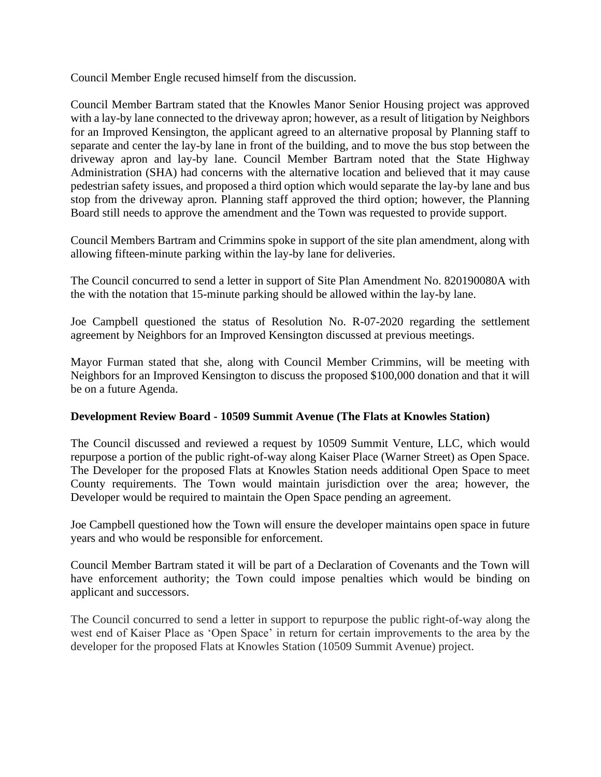Council Member Engle recused himself from the discussion.

Council Member Bartram stated that the Knowles Manor Senior Housing project was approved with a lay-by lane connected to the driveway apron; however, as a result of litigation by Neighbors for an Improved Kensington, the applicant agreed to an alternative proposal by Planning staff to separate and center the lay-by lane in front of the building, and to move the bus stop between the driveway apron and lay-by lane. Council Member Bartram noted that the State Highway Administration (SHA) had concerns with the alternative location and believed that it may cause pedestrian safety issues, and proposed a third option which would separate the lay-by lane and bus stop from the driveway apron. Planning staff approved the third option; however, the Planning Board still needs to approve the amendment and the Town was requested to provide support.

Council Members Bartram and Crimmins spoke in support of the site plan amendment, along with allowing fifteen-minute parking within the lay-by lane for deliveries.

The Council concurred to send a letter in support of Site Plan Amendment No. 820190080A with the with the notation that 15-minute parking should be allowed within the lay-by lane.

Joe Campbell questioned the status of Resolution No. R-07-2020 regarding the settlement agreement by Neighbors for an Improved Kensington discussed at previous meetings.

Mayor Furman stated that she, along with Council Member Crimmins, will be meeting with Neighbors for an Improved Kensington to discuss the proposed \$100,000 donation and that it will be on a future Agenda.

### **Development Review Board - 10509 Summit Avenue (The Flats at Knowles Station)**

The Council discussed and reviewed a request by 10509 Summit Venture, LLC, which would repurpose a portion of the public right-of-way along Kaiser Place (Warner Street) as Open Space. The Developer for the proposed Flats at Knowles Station needs additional Open Space to meet County requirements. The Town would maintain jurisdiction over the area; however, the Developer would be required to maintain the Open Space pending an agreement.

Joe Campbell questioned how the Town will ensure the developer maintains open space in future years and who would be responsible for enforcement.

Council Member Bartram stated it will be part of a Declaration of Covenants and the Town will have enforcement authority; the Town could impose penalties which would be binding on applicant and successors.

The Council concurred to send a letter in support to repurpose the public right-of-way along the west end of Kaiser Place as 'Open Space' in return for certain improvements to the area by the developer for the proposed Flats at Knowles Station (10509 Summit Avenue) project.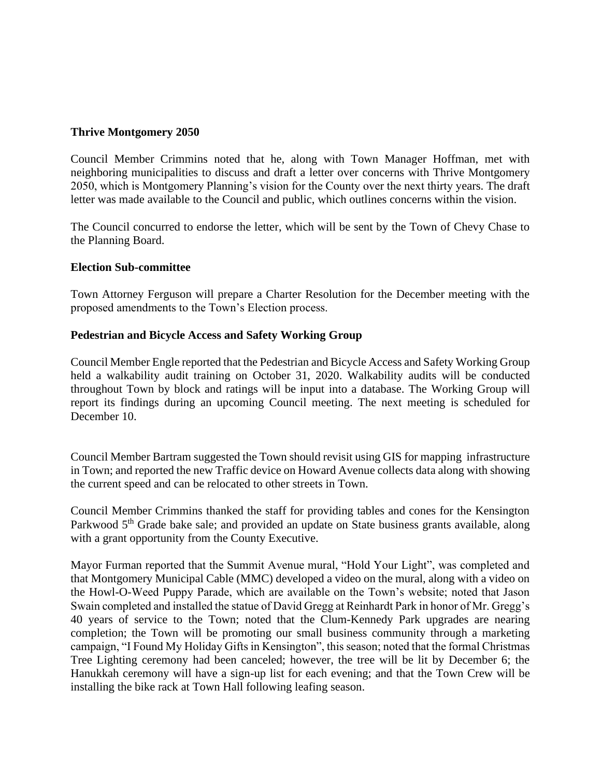## **Thrive Montgomery 2050**

Council Member Crimmins noted that he, along with Town Manager Hoffman, met with neighboring municipalities to discuss and draft a letter over concerns with Thrive Montgomery 2050, which is Montgomery Planning's vision for the County over the next thirty years. The draft letter was made available to the Council and public, which outlines concerns within the vision.

The Council concurred to endorse the letter, which will be sent by the Town of Chevy Chase to the Planning Board.

### **Election Sub-committee**

Town Attorney Ferguson will prepare a Charter Resolution for the December meeting with the proposed amendments to the Town's Election process.

## **Pedestrian and Bicycle Access and Safety Working Group**

Council Member Engle reported that the Pedestrian and Bicycle Access and Safety Working Group held a walkability audit training on October 31, 2020. Walkability audits will be conducted throughout Town by block and ratings will be input into a database. The Working Group will report its findings during an upcoming Council meeting. The next meeting is scheduled for December 10.

Council Member Bartram suggested the Town should revisit using GIS for mapping infrastructure in Town; and reported the new Traffic device on Howard Avenue collects data along with showing the current speed and can be relocated to other streets in Town.

Council Member Crimmins thanked the staff for providing tables and cones for the Kensington Parkwood 5<sup>th</sup> Grade bake sale; and provided an update on State business grants available, along with a grant opportunity from the County Executive.

Mayor Furman reported that the Summit Avenue mural, "Hold Your Light", was completed and that Montgomery Municipal Cable (MMC) developed a video on the mural, along with a video on the Howl-O-Weed Puppy Parade, which are available on the Town's website; noted that Jason Swain completed and installed the statue of David Gregg at Reinhardt Park in honor of Mr. Gregg's 40 years of service to the Town; noted that the Clum-Kennedy Park upgrades are nearing completion; the Town will be promoting our small business community through a marketing campaign, "I Found My Holiday Gifts in Kensington", this season; noted that the formal Christmas Tree Lighting ceremony had been canceled; however, the tree will be lit by December 6; the Hanukkah ceremony will have a sign-up list for each evening; and that the Town Crew will be installing the bike rack at Town Hall following leafing season.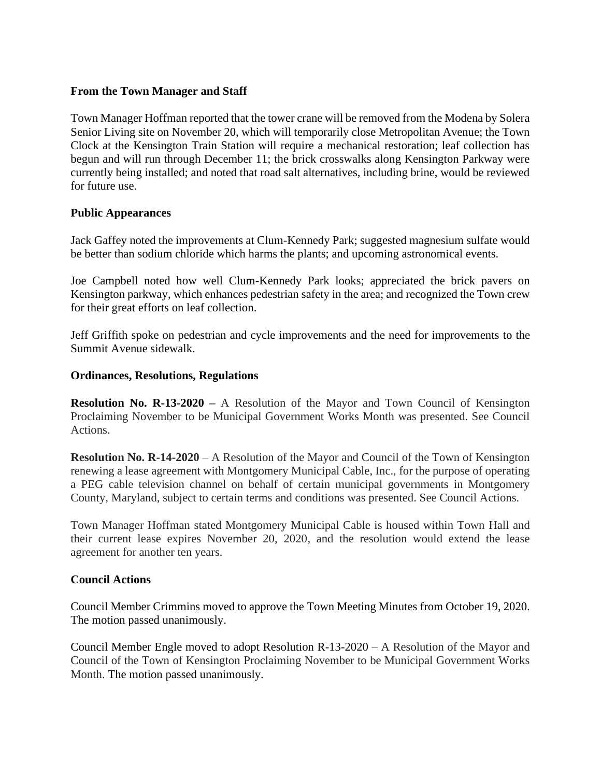## **From the Town Manager and Staff**

Town Manager Hoffman reported that the tower crane will be removed from the Modena by Solera Senior Living site on November 20, which will temporarily close Metropolitan Avenue; the Town Clock at the Kensington Train Station will require a mechanical restoration; leaf collection has begun and will run through December 11; the brick crosswalks along Kensington Parkway were currently being installed; and noted that road salt alternatives, including brine, would be reviewed for future use.

## **Public Appearances**

Jack Gaffey noted the improvements at Clum-Kennedy Park; suggested magnesium sulfate would be better than sodium chloride which harms the plants; and upcoming astronomical events.

Joe Campbell noted how well Clum-Kennedy Park looks; appreciated the brick pavers on Kensington parkway, which enhances pedestrian safety in the area; and recognized the Town crew for their great efforts on leaf collection.

Jeff Griffith spoke on pedestrian and cycle improvements and the need for improvements to the Summit Avenue sidewalk.

## **Ordinances, Resolutions, Regulations**

**Resolution No. R-13-2020 –** A Resolution of the Mayor and Town Council of Kensington Proclaiming November to be Municipal Government Works Month was presented. See Council Actions.

**Resolution No. R-14-2020** – A Resolution of the Mayor and Council of the Town of Kensington renewing a lease agreement with Montgomery Municipal Cable, Inc., for the purpose of operating a PEG cable television channel on behalf of certain municipal governments in Montgomery County, Maryland, subject to certain terms and conditions was presented. See Council Actions.

Town Manager Hoffman stated Montgomery Municipal Cable is housed within Town Hall and their current lease expires November 20, 2020, and the resolution would extend the lease agreement for another ten years.

### **Council Actions**

Council Member Crimmins moved to approve the Town Meeting Minutes from October 19, 2020. The motion passed unanimously.

Council Member Engle moved to adopt Resolution R-13-2020 – A Resolution of the Mayor and Council of the Town of Kensington Proclaiming November to be Municipal Government Works Month. The motion passed unanimously.